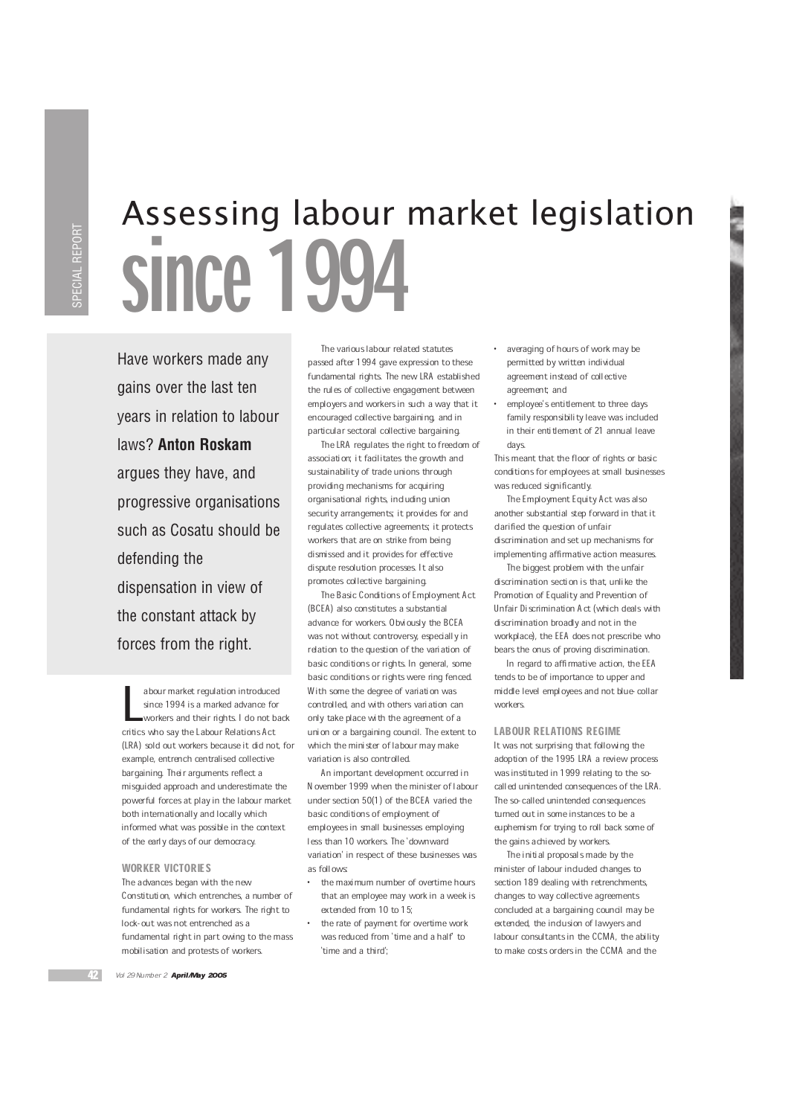# Assessing labour market legislation since 1

Have workers made any gains over the last ten years in relation to labour laws? **Anton Roskam** argues they have, and progressive organisations such as Cosatu should be defending the dispensation in view of the constant attack by forces from the right.

abour market regulation introduce<br>since 1994 is a marked advance for<br>workers and their rights I do not b<br>critics who say the Labour Relations Act abour market regulation introduced since 1994 is a marked advance for workers and their rights. I do not back (LRA) sold out workers because it did not, for example, entrench centralised collective bargaining. Their arguments reflect a misguided approach and underestimate the powerful forces at play in the labour market both internationally and locally which informed what was possible in the context of the early days of our democracy.

## WORKER VICTORIES

The advances began with the new Constitution, which entrenches, a number of fundamental rights for workers. The right to lock-out was not entrenched as a fundamental right in part owing to the mass mobilisation and protests of workers.

The various labour related statutes passed after 1994 gave expression to these fundamental rights. The new LRA established the rules of collective engagement between employers and workers in such a way that it encouraged collective bargaining, and in particular sectoral collective bargaining.

The LRA regulates the right to freedom of association; it facilitates the growth and sustainability of trade unions through providing mechanisms for acquiring organisational rights, including union security arrangements; it provides for and regulates collective agreements; it protects workers that are on strike from being dismissed and it provides for effective dispute resolution processes. It also promotes collective bargaining.

The Basic Conditions of Employment Act (BCEA) also constitutes a substantial advance for workers. Obviously the BCEA was not without controversy, especially in relation to the question of the variation of basic conditions or rights. In general, some basic conditions or rights were ring fenced. With some the degree of variation was controlled, and with others variation can only take place with the agreement of a union or a bargaining council. The extent to which the minister of labour may make variation is also controlled.

An important development occurred in November 1999 when the minister of labour under section 50(1) of the BCEA varied the basic conditions of employment of employees in small businesses employing less than 10 workers. The `downward variation' in respect of these businesses was as follows:

- · the maximum number of overtime hours that an employee may work in a week is extended from 10 to 15;
- the rate of payment for overtime work was reduced from 'time and a half' to `time and a third';
- · averaging of hours of work may be permitted by written individual agreement instead of collective agreement; and
- employee's entitlement to three days family responsibility leave was included in their entitlement of 21 annual leave days.

This meant that the floor of rights or basic conditions for employees at small businesses was reduced significantly.

The Employment Equity Act was also another substantial step forward in that it clarified the question of unfair discrimination and set up mechanisms for implementing affirmative action measures.

The biggest problem with the unfair discrimination section is that, unlike the Promotion of Equality and Prevention of Unfair Discrimination Act (which deals with discrimination broadly and not in the workplace), the EEA does not prescribe who bears the onus of proving discrimination.

In regard to affirmative action, the FFA tends to be of importance to upper and middle level employees and not blue-collar workers.

#### LABOUR RELATIONS REGIME

It was not surprising that following the adoption of the 1995 LRA a review process was instituted in 1999 relating to the socalled unintended consequences of the LRA. The so-called unintended consequences turned out in some instances to be a euphemism for trying to roll back some of the gains achieved by workers.

The initial proposals made by the minister of labour included changes to section 189 dealing with retrenchments, changes to way collective agreements concluded at a bargaining council may be extended, the inclusion of lawyers and labour consultants in the CCMA, the ability to make costs orders in the CCMA and the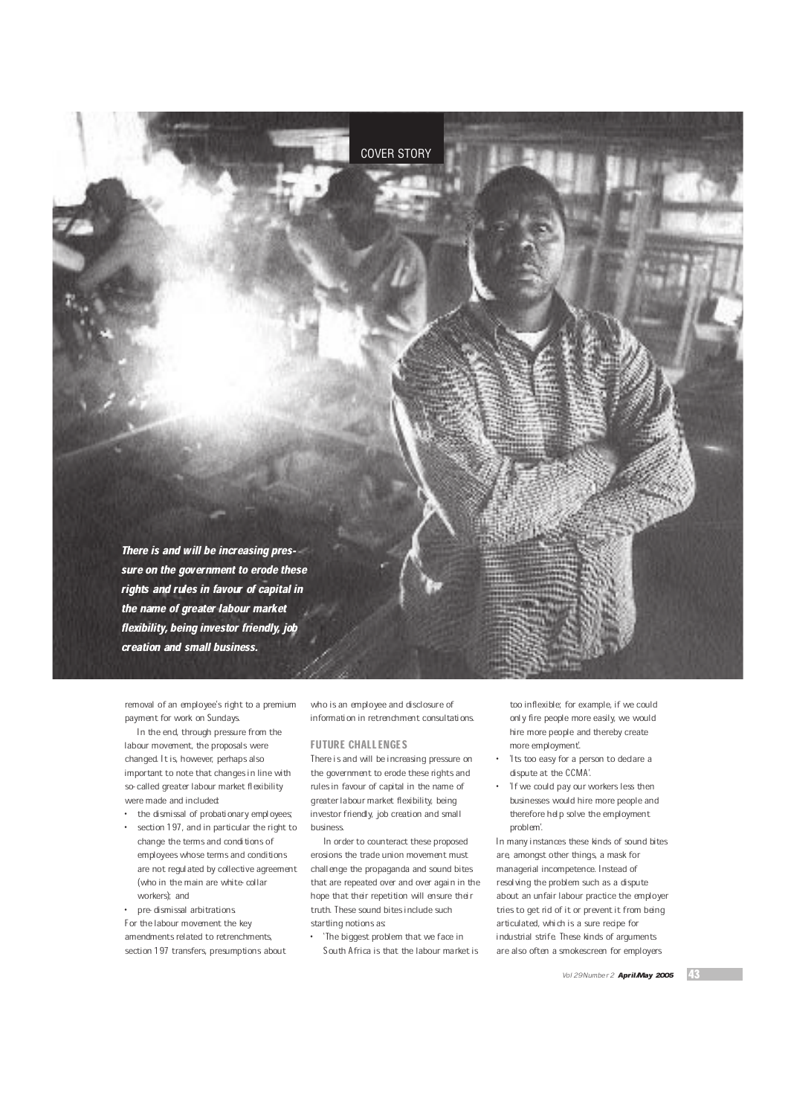

removal of an employee's right to a premium payment for work on Sundays.

In the end, through pressure from the labour movement, the proposals were changed. It is, however, perhaps also important to note that changes in line with so-called greater labour market flexibility were made and included:

the dismissal of probationary employees; section 197, and in particular the right to change the terms and conditions of employees whose terms and conditions are not regulated by collective agreement (who in the main are white-collar workers); and

pre-dismissal arbitrations. For the labour movement the key amendments related to retrenchments, section 197 transfers, presumptions about who is an employee and disclosure of information in retrenchment consultations.

## FUTURE CHALLENGES

There is and will be increasing pressure on the government to erode these rights and rules in favour of capital in the name of greater labour market flexibility, being investor friendly, job creation and small business.

In order to counteract these proposed erosions the trade union movement must challenge the propaganda and sound bites that are repeated over and over again in the hope that their repetition will ensure their truth. These sound bites include such startling notions as

· `The biggest problem that we face in South Africa is that the labour market is too inflexible; for example, if we could only fire people more easily, we would hire more people and thereby create more employment'.

- 'Its too easy for a person to declare a dispute at the CCMA'.
- 'If we could pay our workers less then businesses would hire more people and therefore help solve the employment problem'.

In many instances these kinds of sound bites are, amongst other things, a mask for managerial incompetence. Instead of resolving the problem such as a dispute about an unfair labour practice the employer tries to get rid of it or prevent it from being articulated, which is a sure recipe for industrial strife. These kinds of arguments are also often a smokescreen for employers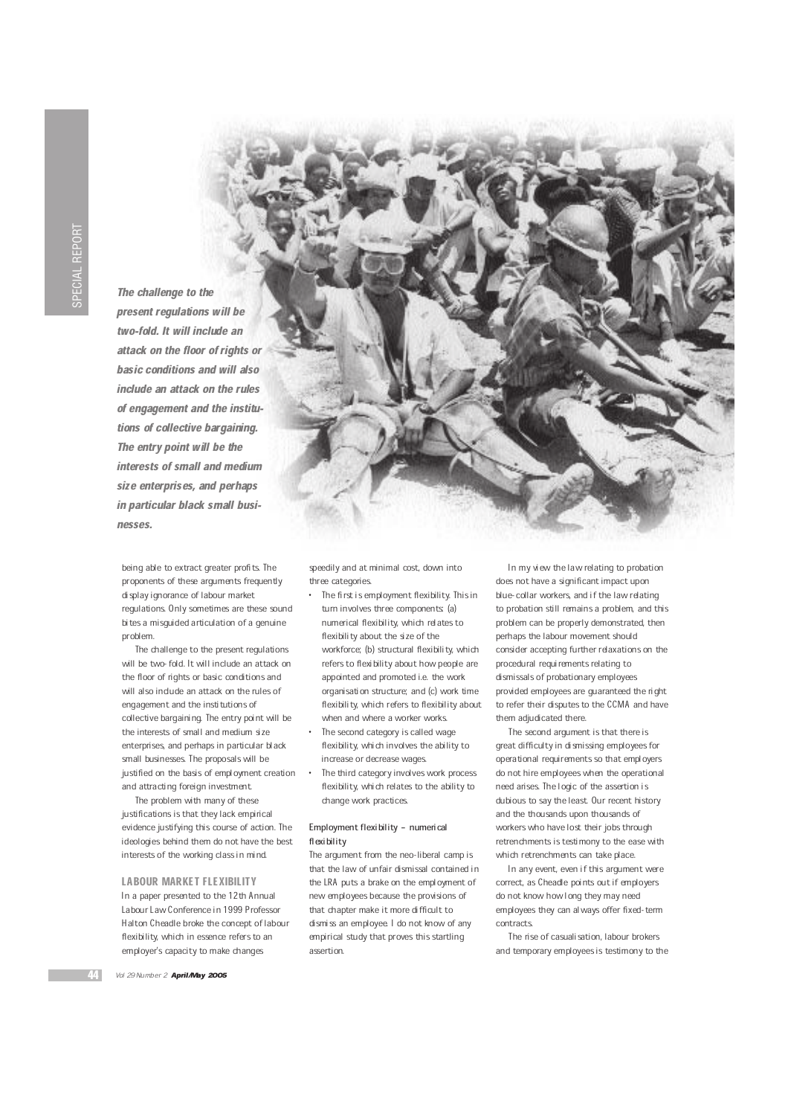The challenge to the present regulations will be two-fold. It will include an attack on the floor of rights or basic conditions and will also include an attack on the rules of engagement and the institutions of collective bargaining. The entry point will be the interests of small and medium size enterprises, and perhaps in particular black small businesses.

being able to extract greater profits. The proponents of these arguments frequently display ignorance of labour market regulations. Only sometimes are these sound bites a misguided articulation of a genuine problem.

The challenge to the present regulations will be two-fold. It will include an attack on the floor of rights or basic conditions and will also include an attack on the rules of engagement and the institutions of collective bargaining. The entry point will be the interests of small and medium size enterprises, and perhaps in particular black small businesses. The proposals will be justified on the basis of employment creation and attracting foreign investment.

The problem with many of these justifications is that they lack empirical evidence justifying this course of action. The ideologies behind them do not have the best interests of the working class in mind.

LABOUR MARKET FLEXIBILITY In a paper presented to the 12th Annual Labour Law Conference in 1999 Professor Halton Cheadle broke the concept of labour flexibility, which in essence refers to an employer's capacity to make changes



speedily and at minimal cost, down into three categories.

- The first is employment flexibility. This in turn involves three components (a) numerical flexibility, which relates to flexibility about the size of the workforce; (b) structural flexibility, which refers to flexibility about how people are appointed and promoted i.e. the work organisation structure; and (c) work time flexibility, which refers to flexibility about when and where a worker works.
- The second category is called wage flexibility, which involves the ability to increase or decrease wages.
- The third category involves work process flexibility, which relates to the ability to change work practices.

# Employment flexibility - numerical flexibility

The argument from the neo-liberal camp is that the law of unfair dismissal contained in the LRA puts a brake on the employment of new employees because the provisions of that chapter make it more difficult to dismiss an employee. I do not know of any empirical study that proves this startling assertion.

In my view the law relating to probation does not have a significant impact upon blue-collar workers, and if the law relating to probation still remains a problem, and this problem can be properly demonstrated, then perhaps the labour movement should consider accepting further relaxations on the procedural requirements relating to dismissals of probationary employees provided employees are guaranteed the right to refer their disputes to the CCMA and have them adjudicated there.

The second argument is that there is great difficulty in dismissing employees for operational requirements so that employers do not hire employees when the operational need arises. The logic of the assertion is dubious to say the least. Our recent history and the thousands upon thousands of workers who have lost their jobs through retrenchments is testimony to the ease with which retrenchments can take place.

In any event, even if this argument were correct, as Cheadle points out if employers do not know how long they may need employees they can always offer fixed-term contracts.

The rise of casualisation, labour brokers and temporary employees is testimony to the

Vol 29 Number 2 April/May 2005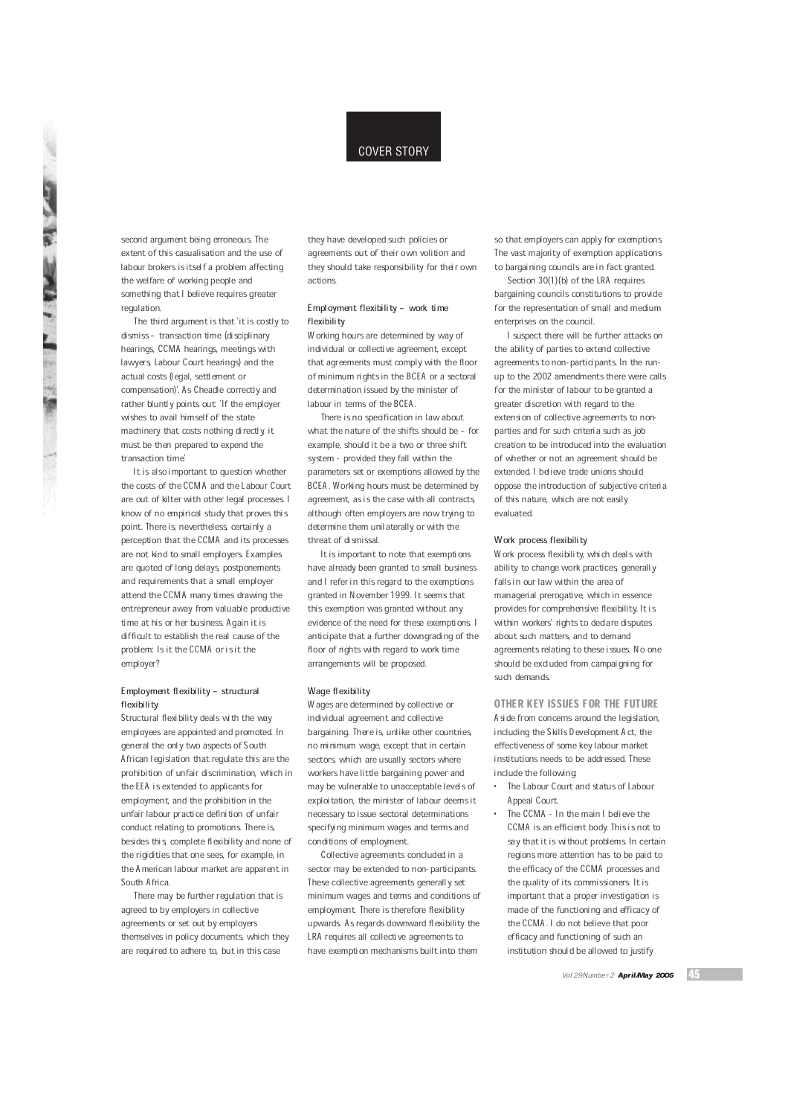# COVER STORY

second argument being erroneous. The extent of this casualisation and the use of labour brokers is itself a problem affecting the welfare of working people and something that I believe requires greater regulation.

The third argument is that `it is costly to dismiss - transaction time (disciplinary hearings, CCMA hearings, meetings with lawyers, Labour Court hearings) and the actual costs (legal, settlement or compensation)'. As Cheadle correctly and rather bluntly points out. 'If the employer wishes to avail himself of the state machinery that costs nothing directly, it must be then prepared to expend the transaction time.'

It is also important to question whether the costs of the CCMA and the Labour Court are out of kilter with other legal processes. I know of no empirical study that proves this point. There is, nevertheless, certainly a perception that the CCMA and its processes are not kind to small employers. Examples are quoted of long delays, postponements and requirements that a small employer attend the CCMA many times drawing the entrepreneur away from valuable productive time at his or her business. Again it is difficult to establish the real cause of the problem: Is it the CCMA or is it the employer?

#### Employment flexibility - structural flexibility

Structural flexibility deals with the way employees are appointed and promoted. In general the only two aspects of South African legislation that regulate this are the prohibition of unfair discrimination, which in the EEA is extended to applicants for employment, and the prohibition in the unfair labour practice definition of unfair conduct relating to promotions. There is, besides this, complete flexibility and none of the rigidities that one sees, for example, in the American labour market are apparent in South Africa.

There may be further regulation that is agreed to by employers in collective agreements or set out by employers themselves in policy documents, which they are required to adhere to, but in this case

they have developed such policies or agreements out of their own volition and they should take responsibility for their own actions.

#### Employment flexibility - work time flexibility

Working hours are determined by way of individual or collective agreement, except that agreements must comply with the floor of minimum rights in the BCEA or a sectoral determination issued by the minister of labour in terms of the BCEA.

There is no specification in law about what the nature of the shifts should be - for example, should it be a two or three shift system - provided they fall within the parameters set or exemptions allowed by the BCEA. Working hours must be determined by agreement, as is the case with all contracts, although often employers are now trying to determine them unilaterally or with the threat of dismissal.

It is important to note that exemptions have already been granted to small business and I refer in this regard to the exemptions granted in November 1999. It seems that this exemption was granted without any evidence of the need for these exemptions. I anticipate that a further downgrading of the floor of rights with regard to work time arrangements will be proposed.

#### Wage flexibility

Wages are determined by collective or individual agreement and collective bargaining. There is, unlike other countries, no minimum wage, except that in certain sectors, which are usually sectors where workers have little bargaining power and may be vulnerable to unacceptable levels of exploitation, the minister of labour deems it necessary to issue sectoral determinations specifying minimum wages and terms and conditions of employment.

Collective agreements concluded in a sector may be extended to non-participants. These collective agreements generally set minimum wages and terms and conditions of employment. There is therefore flexibility upwards. As regards downward flexibility the LRA requires all collective agreements to have exemption mechanisms built into them

so that employers can apply for exemptions. The vast majority of exemption applications to bargaining councils are in fact granted.

Section 30(1)(b) of the LRA requires bargaining councils constitutions to provide for the representation of small and medium enterprises on the council.

I suspect there will be further attacks on the ability of parties to extend collective agreements to non-participants. In the runup to the 2002 amendments there were calls for the minister of labour to be granted a greater discretion with regard to the extension of collective agreements to nonparties and for such criteria such as job creation to be introduced into the evaluation of whether or not an agreement should be extended. I believe trade unions should oppose the introduction of subjective criteria of this nature, which are not easily evaluated.

#### Work process flexibility

Work process flexibility, which deals with ability to change work practices, generally falls in our law within the area of managerial prerogative, which in essence provides for comprehensive flexibility. It is within workers' rights to declare disputes about such matters, and to demand agreements relating to these issues. No one should be excluded from campaigning for such demands.

#### OTHER KEY ISSUES FOR THE FUTURE

Aside from concerns around the legislation, including the Skills Development Act, the effectiveness of some key labour market institutions needs to be addressed. These include the following:

- · The Labour Court and status of Labour Appeal Court.
	- The CCMA In the main I believe the CCMA is an efficient body. This is not to say that it is without problems. In certain regions more attention has to be paid to the efficacy of the CCMA processes and the quality of its commissioners. It is important that a proper investigation is made of the functioning and efficacy of the CCMA. I do not believe that poor efficacy and functioning of such an institution should be allowed to justify